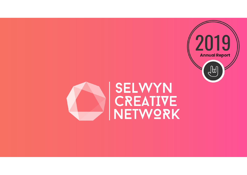

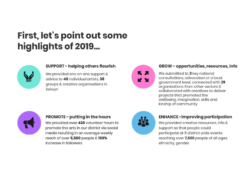# First, let's point out some highlights of 2019...



#### **SUPPORT - helping others flourish**

We provided one on one support & advice to 46 individual artists, 38 groups & creative organisations in Selwyn



#### GROW - opportunities, resources, info

We submitted to **3** key national consultations, advocated at a local government level, connected with 29 organisations from other sectors & collaborated with creatives to deliver projects that promoted the wellbeing, imagination, skills and kinship of community



#### **PROMOTE - putting in the hours**

We provided over 420 volunteer hours to promote the arts in our district via social media resulting in an average weekly reach of over 5,500 people & 150% increase in followers



#### **ENHANCE-improving participation**

We provided creative resources, info & support so that people could participate at 5 district wide events reaching over 7,600 people of all ages, ethnicity, gender.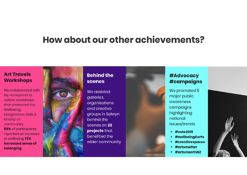### How about our other achievements?

### **Art Travels Workshops**

We collaborated with My Honeyland to deliver workshops that promoted the Wellbeing Imagination, Skills & Kinship of community. 85% of participants reported an increase in wellbeing 75% increased sense of belonging



#### **Behind the** scenes

We assisted galleries, organisations and creative groups in Selwyn behind the scenes on 22 projects that benefited the wider community

### #Advocacy **#campaigns**

We promoted 5 major public awareness campaigns highlighting national issues/trends

- #vote2019
- #wellbeing&arts
- #creativespaces
- #artsmatter
- #artsmonthNZ

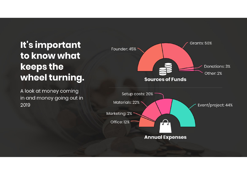## It's important to know what keeps the wheel turning.

A look at money coming in and money going out in 2019

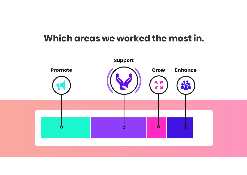### Which areas we worked the most in.